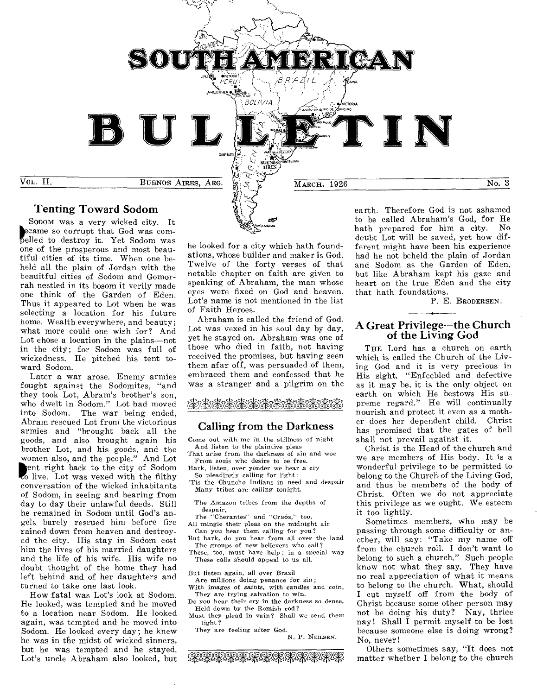

SODOM was a very wicked city. It came so corrupt that God was co ecame so corrupt that God was com-<br>pelled to destroy it. Yet Sodom was one of the prosperous and most beautiful cities of its time. When one beheld all the plain of Jordan with the beauitful cities of Sodom and Gomorrah nestled in its bosom it verily made one think of the Garden of Eden. Thus it appeared to Lot when he was selecting a location for his future home. Wealth everywhere, and beauty; what more could one wish for? And Lot chose a location in the plains—not in the city; for Sodom was full of wickedness. He pitched his tent to-

ward Sodom. Later a war arose. Enemy armies fought against the Sodomites, "and they took Lot, Abram's brother's son, who dwelt in Sodom." Lot had moved into Sodom. The war being ended, Abram rescued Lot from the victorious armies and "brought back all the goods, and also brought again his brother Lot, and his goods, and the women also, and the people." And Lot ent right back to the city of Sodom<br>to live. Lot was vexed with the filthy conversation of the wicked inhabitants of Sodom, in seeing and hearing from day to day their unlawful deeds. Still he remained in Sodom until God's angels barely rescued him before fire rained down from heaven and destroyed the city. His stay in Sodom cost him the lives of his married daughters and the life of his wife. His wife no doubt thought of the home they had left behind and of her daughters and turned to take one last look.

How fatal was Lot's look at Sodom. He looked, was tempted and he moved to a location near Sodom. He looked again, was tempted and he moved into Sodom. He looked every day; he knew he was in the midst of wicked sinners, but he was tempted and he stayed. Lot's uncle Abraham also looked, but he looked for a city which hath foundations, whose builder and maker is God. Twelve of the forty verses of that notable chapter on faith are given to speaking of Abraham, the man whose eyes were fixed on God and heaven. Lot's name is not mentioned in the list of Faith Heroes.

1, **March 200**<br>1, Atema wa mu

Abraham is called the friend of God. Lot was vexed in his soul day by day, yet he stayed on. Abraham was one of those who died in faith, not having received the promises, but having seen them afar off, was persuaded of them, embraced them and confessed that he was a stranger and a pilgrim on the

# $\sim$  660  $\sim$  000  $\sim$  000  $\sim$  000  $\sim$  000  $\sim$  000  $\sim$

#### Calling from the Darkness

Come out with me in the stillness of night And listen to the plaintive pleas

That arise from the darkness of sin and woe From souls who desire to be free.

- Hark, listen, over yonder we hear a cry So pleadingly calling for light:
- "tis the Chuncho Indians in need and despair Many tribes are *calling* tonight.
- The Amazon tribes from the depths of despair,
- The "Cherantes" and "Craós," too,
- All mingle their pleas on the midnight air Can you hear them calling for you?
- But hark, do you hear from all over the land The groups of new believers who call?
- These, too, must have help ; in a special way These calls should appeal to us all.

But listen again, all over Brazil

- Are millions doing penance for sin ; With *images of saints,* with candles and *coin,*
- They are trying salvation to win. Do you hear their cry in the darkness so dense, Held down by the Romish rod?
- Must they plead in vain? Shall we send them light ?

They are feeling after God. N. P. NEILSEN.

aa+9.1\*\*Wk94-'fafq-q--PW.T.R' ,

to be called Abraham's God, for He hath prepared for him a city. No doubt Lot will be saved, yet how different might have been his experience had he not beheld the plain of Jordan and Sodom as the Garden of Eden, but like Abraham kept his gaze and heart on the true Eden and the city that hath foundations.

P. E. BRODERSEN.

#### A Great Privilege--the Church of the Living God

THE Lord has a church on earth which is called the Church of the Living God and it is very precious in His sight. "Enfeebled and defective as it may be, it is the only object on earth on which He bestows His supreme regard." He will continually nourish and protect it even as a mother does her dependent child. Christ has promised that the gates of hell shall not prevail against it.

Christ is the Head of the church and we are members of His body. It is a wonderful privilege to be permitted to belong to the Church of the Living God, and thus be members of the body of Christ. Often we do not appreciate this privilege as we ought. We esteem it too lightly.

Sometimes members, who may be passing through some difficulty or another, will say: "Take my name off from the church roll. I don't want to belong to such a church." Such people know not what they say. They have no real appreciation of what it means to belong to the church. What, should I cut myself off from the body of Christ because some other person may not be doing his duty? Nay, thrice nay! Shall I permit myself to be lost because someone else is doing wrong? No, never!

Others sometimes say, "It does not matter whether I belong to the church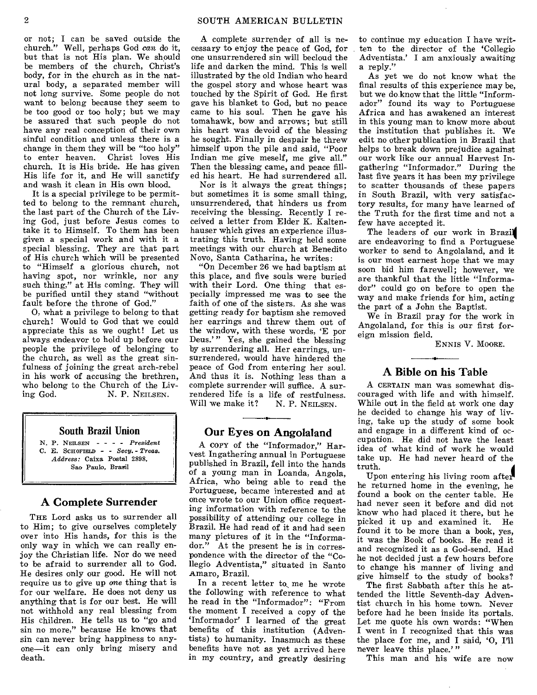#### 2 SOUTH AMERICAN BULLETIN

or not; I can be saved outside the church." Well, perhaps God *can* do it, but that is not His plan. We should be members of the church, Christ's body, for in the church as in the natural body, a separated member will not long survive. Some people do not want to belong because they seem to be too good or too holy; but we may be assured that such people do not have any real conception of their own sinful condition and unless there is a change in them they will be "too holy" to enter heaven. Christ loves His church. It is His bride. He has given His life for it, and He will sanctify and wash it clean in His own blood.

It is a special privilege to be permitted to belong to the remnant church, the last part of the Church of the Living God, just before Jesus comes to take it to Himself. To them has been given a special work and with it a special blessing. They are that part of His church which will be presented to "Himself a glorious church, not having spot, nor wrinkle, nor any such thing," at His coming. They will be purified until they stand "without fault before the throne of God."

0, what a privilege to belong to that church! Would to God that we could appreciate this as we ought! Let us always endeavor to hold up before our people the privilege of belonging to the church, as well as the great sinfulness of joining the great arch-rebel in his work of accusing the brethren, who belong to the Church of the Liv-<br>ing God. N. P. NEILSEN. N. P. NEILSEN.

#### **South Brazil Union**

*N.* P. NEILSEN - - - - *President*  C. E. SCHOFIELD - - *Secy. - Treas. Address:* Caixa Postal 2898. Sao Paulo, Brasil

#### **A Complete Surrender**

THE Lord asks us to surrender all to Him; to give ourselves completely over into His hands, for this is the only way in which we can really enjoy the Christian life. Nor do we need to be afraid to surrender all to God. He desires only our good. He will not require us to *give* up one thing that is for our welfare. He does not deny us anything that is for our best. He will not withhold any real blessing from His children. He tells us to "go and sin no more," because He knows that sin can never bring happiness to anyone—it can only bring misery and death.

A complete surrender of all is necessary to enjoy the peace of God, for one unsurrendered sin will becloud the life and darken the mind. This is well illustrated by the old Indian who heard the gospel story and whose heart was touched by the Spirit of God. He first gave his blanket to God, but no peace came to his soul. Then he gave his tomahawk, bow and arrows; but still his heart was devoid of the blessing he sought. Finally in despair he threw himself upon the pile and said, "Poor Indian me give meself, me give all." Then the blessing came, and peace filled his heart. He had surrendered all.

Nor is it always the great things; but sometimes it is some small thing, unsurrendered, that hinders us from receiving the blessing. Recently I received a letter from Elder K. Kaltenhauser which gives an experience illustrating this truth. Having held some meetings with our church at Benedito Novo, Santa Catharina, he writes:

"On December 26 we had baptism at this place, and five souls were buried with their Lord. One thing that especially impressed me was to see the faith of one of the sisters. As she was getting ready for baptism she removed her earrings and threw them out of the window, with these words, `E por Deus.'" Yes, she gained the blessing by surrendering all. Her earrings, unsurrendered, would have hindered the peace of God from entering her soul. And thus it is. Nothing less than a complete surrender will suffice. A surrendered life is a life of restfulness.<br>Will we make it?  $N$ , P. NEILSEN. Will we make it?

#### **Our Eyes on Angolaland**

A COPY of the "Informador," Harvest Ingathering annual in Portuguese published in Brazil, fell into the hands of a young man in Loanda, Angola, Africa, who being able to read the Portuguese, became interested and at once wrote to our Union office requesting information with reference to the possibility of attending our college in Brazil. He had read of it and had seen many pictures of it in the "Informador." At the present he is in correspondence with the director of the "Collegio Adventista," situated in Santo Amaro, Brazil.

In a recent letter to me he wrote the following with reference to what he read in the "Informador": "From the moment I received a copy of the `Informador' I learned of the great benefits of this institution (Adventists) to humanity. Inasmuch as these benefits have not as yet arrived here in my country, and greatly desiring to continue my education I have written to the director of the 'Collegio Adventista.' I am anxiously awaiting a reply."

As yet we do not know what the final results of this experience may be, but we do know that the little "Informador" found its way to Portuguese Africa and has awakened an interest in this young man to know more about the institution that publishes it. We edit no other publication in Brazil that helps to break down prejudice against our work like our annual Harvest Ingathering "Informador." During the last five years it has been my privilege to scatter thousands of these papers in South Brazil, with very satisfactory results, for many have learned of the Truth for the first time and not a few have accepted it.

The leaders of our work in Brazil are endeavoring to find a Portuguese worker to send to Angolaland, and it is our most earnest hope that we may soon bid him farewell; however, we are thankful that the little "Informador" could go on before to open the way and make friends for him, acting the part of a John the Baptist.

We in Brazil pray for the work in Angolaland, for this is our first foreign mission field.

ENNIS V. MOORE.

#### **A Bible on his Table**

A CERTAIN man was somewhat discouraged with life and with himself. While out in the field at work one day he decided to change his way of living, take up the study of some book and engage in a different kind of occupation. He did not have the least idea of what kind of work he would take up. He had never heard of the truth.

Upon entering his living room after he returned home in the evening, he found a book on the center table. He had never seen it before and did not know who had placed it there, but he picked it up and examined it. He found it to be more than a book, yes, it was the Book of books. He read it and recognized it as a God-send. Had he not decided just a few hours before to change his manner of living and give himself to the study of books?

The first Sabbath after this he attended the little Seventh-day Adventist church in his home town. Never before had he been inside its portals. Let me quote his own words: "When I went in I recognized that this was the place for me, and I said, '0, I'll never leave this place.'"

This man and his wife are now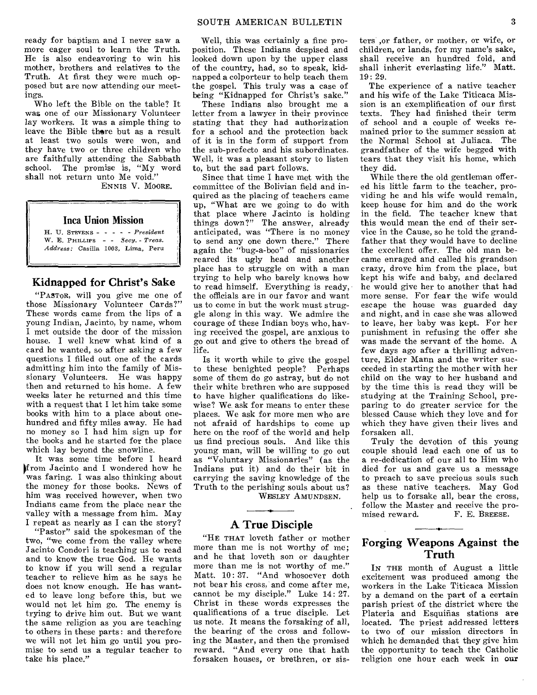ready for baptism and I never saw a more eager soul to learn the Truth. He is also endeavoring to win his mother, brothers and relatives to the Truth. At first they were much opposed but are now attending our meetings.

Who left the Bible on the table? It was one of our Missionary Volunteer lay workers. It was a simple thing to leave the Bible there but as a result at least two souls were won, and they have two or three children who are faithfully attending the Sabbath school. The promise is, "My word shall not return unto Me void."

ENNIS V. MOORE.

#### **Inca Union Mission**

H. U. STEVENS - - - - President *W.* E. PHILLIPS - - *Se*cy. - *Treas. Address:* Casilla 1003, Lima, Peru

#### **Kidnapped for Christ's Sake**

"PASTOR, will you give me one of those Missionary Volunteer Cards?" These words came from the lips of a young Indian, Jacinto, by name, whom I met outside the door of the mission house. I well knew what kind of a card he wanted, so after asking a few questions I filled out one of the cards admitting him into the family of Missionary Volunteers. He was happy then and returned to his home. A few weeks later he returned and this time with a request that I let him take some books with him to a place about onehundred and fifty miles away. He had no money so I had him sign up for the books and he started for the place which lay beyond the snowline.

It was some time before I heard from Jacinto and I wondered how he was faring. I was also thinking about the money for those books. News of him was received however, when two Indians came from the place near the valley with a message from him. May I repeat as nearly as I can the story?

"Pastor" said the spokesman of the two, "we come from the valley where Jacinto Condori is teaching us to read and to know the true God. He wants to know if you will send a regular teacher to relieve him as he says he does not know enough. He has wanted to leave long before this, but we would not let him go. The enemy is trying to drive him out. But we want the same religion as you are teaching to others in these parts: and therefore we will not let him go until you promise to send us a regular teacher to take his place."

Well, this was certainly a fine proposition. These Indians despised and looked down upon by the upper class of the country, had, so to speak, kidnapped a colporteur to help teach them the gospel. This truly was a case of being "Kidnapped for Christ's sake."

These Indians also brought me a letter from a lawyer in their province stating that they had authorization for a school and the protection back of it is in the form of support from the sub-prefecto and his subordinates. Well, it was a pleasant story to listen to, but the sad part follows.

Since that time I have met with the committee of the Bolivian field and inquired as the placing of teachers came up, "What are we going to do with that place where Jacinto is holding things down?" The answer, already anticipated, was "There is no money to send any one down there." There again the "bug-a-boo" of missionaries reared its ugly head and another place has to struggle on with a man trying to help who barely knows how to read himself. Everything is ready, the officials are in our favor and want us to come in but the work must struggle along in this way. We admire the courage of these Indian boys who, having received the gospel, are anxious to go out and give to others the bread of life.

Is it worth while to give the gospel to these benighted people? Perhaps some of them do go astray, but do not their white brethren who are supposed to have higher qualifications do likewise? We ask for means to enter these places. We ask for more men who are not afraid of hardships to come up here on the roof of the world and help us find precious souls. And like this young man, will be willing to go out as "Voluntary Missionaries" (as the Indians put it) and do their bit in carrying the saving knowledge of the Truth to the perishing souls about us?

WESLEY AMUNDSEN,

#### **A True Disciple**

"HE THAT loveth father or mother more than me is not worthy of me; and he that loveth son or daughter more than me is not worthy of me." Matt. 10: 37. "And whosoever doth not bear his cross, and come after me, cannot be my disciple." Luke 14: 27. Christ in these words expresses the qualifications of a true disciple. Let us note. It means the forsaking of all, the bearing of the cross and following the Master, and then the promised reward. "And every one that hath forsaken houses, or brethren, or sisters ,or father, or mother, or wife, or children, or lands, for my name's sake, shall receive an hundred fold, and shall inherit everlasting life." Matt. 19: 29.

The experience of a native teacher and his wife of the Lake Titicaca Mission is an exemplification of our first texts. They had finished their term of school and a couple of weeks remained prior to the summer session at the Normal School at Juliaca. The grandfather of the wife begged with tears that they visit his home, which they did.

While there the old gentleman offered his little farm to the teacher, providing he and his wife would remain, keep house for him and do the work in the field. The teacher knew that this would mean the end of their service in the Cause, so he told the grandfather that they would have to decline the excellent offer. The old man became enraged and called his grandson crazy, drove him from the place, but kept his wife and baby, and declared he would give her to another that had more sense. For fear the wife would escape the house was guarded day and night, and in case she was allowed to leave, her baby was kept. For her punishment in refusing the offer she was made the servant of the home. A few days ago after a thrilling adventure, Elder Mann and the writer succeeded in starting the mother with her child on the way to her husband and by the time this is read they will be studying at the Training School, preparing to do greater service for the blessed Cause which they love and for which they have given their lives and forsaken all.

Truly the devotion of this young couple should lead each one of us to a re-dedication of our all to Him who died for us and gave us a message to preach to save precious souls such as these native teachers. May God help us to forsake all, bear the cross, follow the Master and receive the pro-<br>mised reward. F. E. BREESE. F. E. BREESE.

# **Forging Weapons Against the Truth**

IN THE month of August a little excitement was produced among the workers in the Lake Titicaca Mission by a demand on the part of a certain parish priest of the district where the Plateria and Esquiñas stations are located. The priest addressed letters to two of our mission directors in which he demanded that they give him the opportunity to teach the Catholic religion one hour each week in our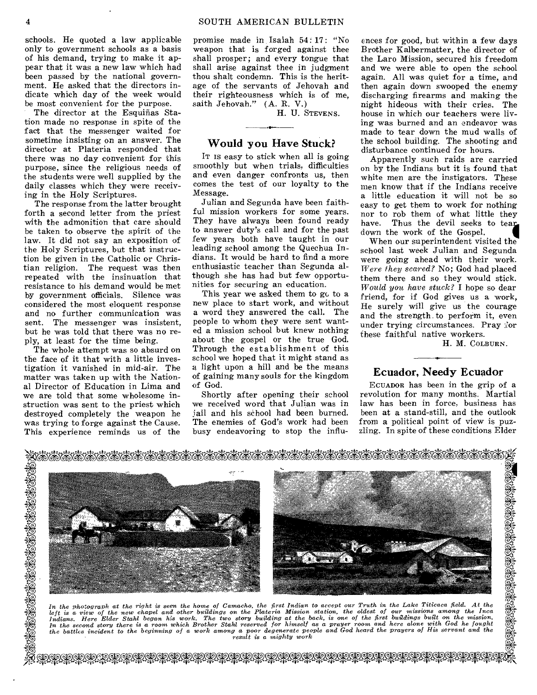schools. He quoted a law applicable only to government schools as a basis of his demand, trying to make it appear that it was a new law which had been passed by the national government. He asked that the directors indicate which day of the week would be most convenient for the purpose.

The director at the Esquiñas Station made no response in spite of the fact that the messenger waited for sometime insisting on an answer. The director at Plateria responded that there was no day convenient for this purpose, since the religious needs of the students were well supplied by the daily classes which they were receiving in the Holy Scriptures.

The response from the latter brought forth a second letter from the priest with the admonition that care should be taken to observe the spirit of the law. It did not say an exposition of the Holy Scriptures, but that instruction be given in the Catholic or Christian religion. The request was then repeated with the insinuation that resistance to his demand would be met by government officials. Silence was considered the most eloquent response and no further communication was sent. The messenger was insistent, but he was told that there was no reply, at least for the time being.

The whole attempt was so absurd on the face of it that with a little investigation it vanished in mid-air. The matter was taken up with the National Director of Education in Lima and we are told that some wholesome instruction was sent to the priest which destroyed completely the weapon he was trying to forge against the Cause. This experience reminds us of the

16<br>36

promise made in Isaiah 54: 17: "No weapon that is forged against thee shall prosper; and every tongue that shall arise against thee in judgment thou shalt condemn. This is the heritage of the servants of Jehovah and their righteousness which is of me, saith Jehovah." (A. R. V.)

H. U. STEVENS.

#### **Would you Have Stuck?**

IT IS easy to stick when all is going smoothly but when trials, difficulties and even danger confronts us, then comes the test of our loyalty to the Message.

Julian and Segunda have been faithful mission workers for some years. They have always been found ready to answer duty's call and for the past few years both have taught in our leading school among the Quechua Indians. It would be hard to find a more enthusiastic teacher than Segunda although she has had but few opportunities for securing an education.

This year we asked them to gc to a new place to start work, and without a word they answered the call. The people to whom they were sent wanted a mission school but knew nothing about the gospel or the true God. Through the establishment of this school we hoped that it might stand as a light upon a hill and be the means of gaining many souls for the kingdom of God.

Shortly after opening their school we received word that Julian was in jail and his school had been burned. The enemies of God's work had been busy endeavoring to stop the influences for good, but within a few days Brother Kalbermatter, the director of the Laro Mission, secured his freedom and we were able to open the school again. All was quiet for a time, and then again down swooped the enemy discharging firearms and making the night hideous with their cries. The house in which our teachers were living was burned and an endeavor was made to tear down the mud walls of the school building. The shooting and disturbance continued for hours.

Apparently such raids are carried on by the Indians but it is found that white men are the instigators. These men know that if the Indians receive a little education it will not be so easy to get them to work for nothing nor to rob them of what little they<br>have. Thus the devil seeks to tear Thus the devil seeks to tear. down the work of the Gospel.

When our superintendent visited the school last week Julian and Segunda were going ahead with their work. *Were they scared?* No; God had placed them there and so they would stick. *Would* you, *have stuck?* I hope so dear friend, for if God gives us a work, He surely will give us the courage and the strength. to perform it, even under trying circumstances. Pray  $\partial$ or these faithful native workers.

H. M. COLBURN.

# **Ecuador, Needy Ecuador**

ECUADOR has been in the grip of a revolution for many months. Martial law has been in force, business has been at a stand-still, and the outlook from a political point of view is puzzling. In spite of these conditions Elder



In the photograph at the right is seen the home of Camacho, the first Indian to accept our Truth in the Lake Titicaca field. At the<br>left is a view of the new chapel and other buildings on the Plateria Mission station, the *result is a mighty work* 

7z1. W\*Wq-PAV qAPROW\*WWWWW-Rf nWWWW-PWW\*\*WW-P4W-P WWW4W-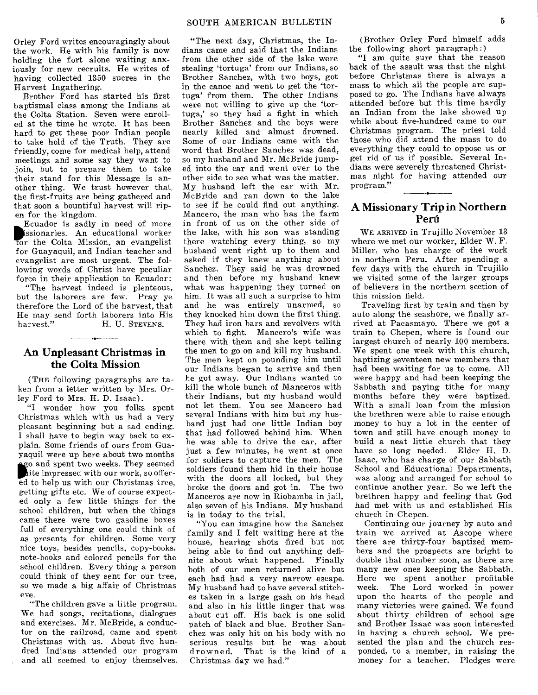Orley Ford writes encouragingly about the work. He with his family is now holding the fort alone waiting anxiously for new recruits. He writes of having collected 1350 sucres in the Harvest Ingathering.

Brother Ford has started his first baptismal class among the Indians at the Colta Station. Seven were enrolled at the time he wrote. It has been hard to get these poor Indian people to take hold of the Truth. They are friendly, come for medical help, attend meetings and some say they want to join, but to prepare them to take their stand for this Message is another thing. We trust however that the first-fruits are being gathered and that soon a bountiful harvest will ripen for the kingdom.

Ecuador is sadly in need of more ssionaries. An educational worker for the Colta Mission, an evangelist for Guayaquil, and Indian teacher and evangelist are most urgent. The following words of Christ have peculiar force in their application to Ecuador:

"The harvest indeed is plenteous, but the laborers are few. Pray ye therefore the Lord of the harvest, that He may send forth laborers into His<br>harvest." H. U. STEVENS. H. U. STEVENS.

#### An Unpleasant Christmas in the Colta Mission

(THE following paragraphs are taken from a letter written by Mrs. Orley Ford to Mrs. H. D. Isaac).

"I wonder how you folks spent Christmas which with us had a very pleasant beginning but a sad ending. I shall have to begin way back to explain. Some friends of ours from Guayaquil were up here about two months **g** go and spent two weeks. They seemed<br>
dite impressed with our work, so offer-<br>
ed to help us with our Christmas tree, **o** and spent two weeks. They seemed ite impressed with our work, so offergetting gifts etc. We of course expected only a few little things for the school children, but when the things came there were two gasoline boxes full of everything one could think of as presents for children. Some very nice toys, besides pencils, copy-books, note-books and colored pencils for the school children. Every thing a person could think of they sent for our tree, so we made a big affair of Christmas eve.

"The children gave a little program. We had songs, recitations, dialogues and exercises. Mr. McBride, a conductor on the railroad, came and spent Christmas with us. About five hundred Indians attended our program and all seemed to enjoy themselves.

"The next day, Christmas, the Indians came and said that the Indians from the other side of the lake were stealing 'tortuga' from our Indians, so Brother Sanchez, with two boys, got in the canoe and went to get the 'tortuga' from them. The other Indians were not willing to give up the 'tortuga,' so they had a fight in which Brother Sanchez and the boys were nearly killed and almost drowned. Some of our Indians came with the word that Brother Sanchez was dead, so my husband and Mr. McBride jumped into the car and went over to the other side to see what was the matter. My husband left the car with Mr. McBride and ran down to the lake to **see** if he could find out anything. Mancero, the man who has the farm in front of us on the other side of the lake, with his son was standing there watching every thing, so my husband went right up to them and asked if they knew anything about Sanchez. They said he was drowned and then before my husband knew what was happening they turned on him. It was all such a surprise to him and he was entirely unarmed, so they knocked him down the first thing. They had iron bars and revolvers with which to fight. Mancero's wife was there with them and she kept telling the men to go on and kill my husband. The men kept on pounding him until our Indians began to arrive and then he got away. Our Indians wanted to kill the whole bunch of Manceros with their Indians, but my husband would not let them. You see Mancero had several Indians with him but my husband just had one little Indian boy that had followed behind him. When he was able to drive the car, after just a few minutes, he went at once for soldiers to capture the men. The soldiers found them hid in their house with the doors all locked, but they broke the doors and got in. The two Manceros are now in Riobamba in jail, also seven of his Indians. My husband **is** in today to the trial.

"You can imagine how the Sanchez family and I felt waiting here at the house, hearing shots fired but not being able to find out anything definite about what happened. Finally both of our men returned alive but each had had a very narrow escape. My husband had to have several stitches taken in a large gash on his head and also in his little finger that was about cut off. His back is one solid patch of black and blue. Brother Sanchez was only hit on his body with no serious results but he was about<br>drowned. That is the kind of a That is the kind of a Christmas day we had."

(Brother Orley Ford himself adds the following short paragraph:)

"I am quite sure that the reason back of the assult was that the night before Christmas there is always a mass to which all the people are supposed to go. The Indians have always attended before but this time hardly an Indian from the lake showed up while about five-hundred came to our Christmas program. The priest told those who did attend the mass to do everything they could to oppose us or get rid of us if possible. Several Indians were severely threatened Christmas night for having attended our program."

#### A Missionary Trip in Northern Peril

WE ARRIVED in Trujillo November 13 where we met our worker, Elder W. F. Miller, who has charge of the work in northern Peru. After spending a few days with the church in Trujillo we visited some of the larger groups of believers in the northern section of this mission field.

Traveling first by train and then by auto along the seashore, we finally arrived at Pacasmayo. There we got a train to Chepen, where is found our largest church of nearly 100 members. We spent one week with this church, baptizing seventeen new members that had been waiting for us to come. All were happy and had been keeping the Sabbath and paying tithe for many months before they were baptized. With a small loan from the mission the brethren were able to raise enough money to buy a lot in the center of town and still have enough money to build a neat little church that they have so long needed. Elder H. D. Isaac, who has charge of our Sabbath School and Educational Departments, was along and arranged for school to continue another year. So we left the brethren happy and feeling that God had met with us and established His church in Chepen.

Continuing our journey by auto and train we arrived at Ascope where there are thirty-four baptized members and the prospects are bright to double that number soon, as there are many new ones keeping the Sabbath. Here we spent another profitable week. The Lord worked in power upon the hearts of the people and many victories were gained. We found about thirty children of school age and Brother Isaac was soon interested in having a church school. We presented the plan and the church responded, to a member, in raising the money for a teacher. Pledges were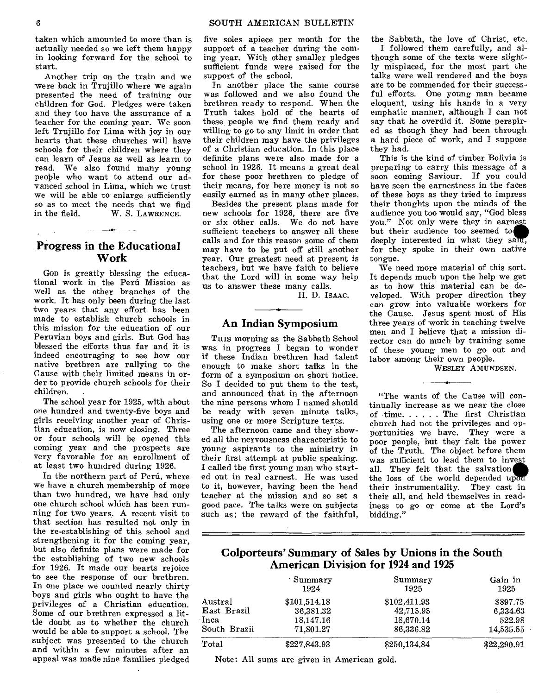taken which amounted to more than is actually needed so we left them happy in looking forward for the school to start.

Another trip on the train and we were back in Trujillo where we again presented the need of training our children for God. Pledges were taken and they too have the assurance of a teacher for the coming year. We soon left Trujillo for Lima with joy in our hearts that these churches will have schools for their children where they can learn of Jesus as well as learn to read. We also found many young people who want to attend our advanced school in Lima, which we trust we will be able to enlarge sufficiently so as to meet the needs that we find<br>in the field. W. S. LAWRENCE. W. S. LAWRENCE.

#### **Progress in the Educational Work**

Gon is greatly blessing the educational work in the Peru Mission as well as the other branches of the work. It has only been during the last two years that any effort has been made to establish church schools in this mission for the education of our Peruvian boys and girls. But God has blessed the efforts thus far and it is indeed encouraging to see how our native brethren are rallying to the Cause with their limited means in order to provide church schools for their children.

The school year for 1925, with about one hundred and twenty-five boys and girls receiving another year of Christian education, is now closing. Three or four schools will be opened this coming year and the prospects are very favorable for an enrollment of at least two hundred during 1926.

In the northern part of Perú, where we have a church membership of more than two hundred, we have had only one church school which has been running for two years. A recent visit to that section has resulted not only in the re-establishing of this school and strengthening it for the coming year, but also definite plans were made for the establishing of two new schools for 1926. It made our hearts rejoice to see the response of our brethren. In one place we counted nearly thirty boys and girls who ought to have the privileges of a Christian education. Some of our brethren expressed a little doubt as to whether the church would be able to support a school. The subject was presented to the church and within a few minutes after an appeal was made nine families pledged

five soles apiece per month for the support of a teacher during the coming year. With other smaller pledges sufficient funds were raised for the support of the school.

In another place the same course was followed and we also found the brethren ready to respond. When the Truth takes hold of the hearts of these people we find them ready and willing to go to any limit in order that their children may have the privileges of a Christian education. In this place definite plans were also made for a school in 1926. It means a great deal for these poor brethren to pledge of their means, for here money is not so easily earned as in many other places.

Besides the present plans made for new schools for 1926, there are five or six other calls. We do not have sufficient teachers to answer all these calls and for this reason some of them may have to be put off still another year. Our greatest need at present is teachers, but we have faith to believe that the Lord will in some way help us to answer these many calls.

H. D. ISAAC.

#### **An Indian Symposium**

THIS morning as the Sabbath School was in progress I began to wonder if these Indian brethren had talent enough to make short talks in the form of a symposium on short notice. So I decided to put them to the test, and announced that in the afternoon the nine persons whom I named should be ready with seven minute talks, using one or more Scripture texts.

The afternoon came and they showed all the nervousness characteristic to young aspirants to the ministry in their first attempt at public speaking. I called the first young man who started out in real earnest. He was used to it, however, having been the head teacher at the mission and so set a good pace. The talks were on subjects such as; the reward of the faithful, the Sabbath, the love of Christ, etc.

I followed them carefully, and although some of the texts were slightly misplaced, for the most part the talks were well rendered and the boys are to be commended for their successful efforts. One young man became eloquent, using his hands in a very emphatic manner, although I can not say that he overdid it. Some perspired as though they had been through a hard piece of work, and I suppose they had.

This is the kind of timber Bolivia is preparing to carry this message of a soon coming Saviour. If you could have seen the earnestness in the faces of these boys as they tried to impress their thoughts upon the minds of the audience you too would say, "God bless you." Not only were they in earnest but their audience too seemed to deeply interested in what they said, for they spoke in their own native tongue.

We need more material of this sort. It depends much upon the help we get as to how this material can be developed. With proper direction they can grow into valuable workers for the Cause. Jesus spent most of His three years of work in teaching twelve men and I believe that a mission director can do much by training some of these young men to go out and labor among their own people.

WESLEY AMUNDSEN.

"The wants of the Cause will continually increase as we near the close of time.  $\ldots$ . The first Christian church had not the privileges and opportunities we have. They were a poor people, but they felt the power of the Truth. The object before them was sufficient to lead them to invest all. They felt that the salvation the loss of the world depended up their instrumentality. They cast in their all, and held themselves in readiness to go or come at the Lord's bidding."

# **Colporteurs' Summary of Sales by Unions in the South American Division for 1924 and 1925**

|              | Summary<br>1924 | Summary<br>1925 | Gain in<br>1925<br>\$897.75 |  |
|--------------|-----------------|-----------------|-----------------------------|--|
| Austral      | \$101,514.18    | \$102,411.93    |                             |  |
| East Brazil  | 36,381.32       | 42.715.95       | 6.334.63<br>522.98          |  |
| Inca         | 18,147.16       | 18,670.14       |                             |  |
| South Brazil | 71,801.27       | 86,336.82       | 14,535.55                   |  |
| Total        | \$227,843.93    | \$250,134.84    | \$22,290.91                 |  |

Note: All sums are given in American gold.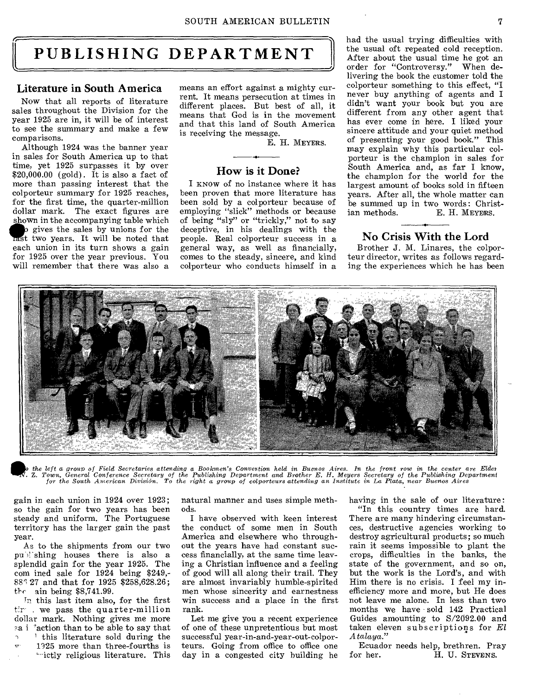# **PUBLISHING DEPARTMENT**

#### Literature in South America

Now that all reports of literature sales throughout the Division for the year 1925 are in, it will be of interest to see the summary and make a few comparisons.

Although 1924 was the banner year in sales for South America up to that time, yet 1925 surpasses it by over  $$20,000.00$  (gold). It is also a fact of more than passing interest that the colporteur summary for 1925 reaches, for the first time, the quarter-million dollar mark. The exact figures are shown in the accompanying table which<br> **is** gives the sales by unions for the<br>
rast two years. It will be noted that tast two years. It will be noted that each union in its turn shows a gain for 1925 over the year previous. You

will remember that there was also a

means an effort against a mighty current. It means persecution at times in different places. But best of all, it means that God is in the movement and that this land of South America is receiving the message.

E. H. MEYERS.

# How is it Done?

I KNOW of no instance where it has been proven that more literature has been sold by a colporteur because of employing "slick" methods or because of being "sly" or "trickly," not to say deceptive, in his dealings with the people. Real colporteur success in a general way, as well as financially, comes to the steady, sincere, and kind colporteur who conducts himself in a

had the usual trying difficulties with the usual oft repeated cold reception. After about the usual time he got an order for "Controversy." When delivering the book the customer told the colporteur something to this effect, "I never buy anything of agents and I didn't want your book but you are different from any other agent that has ever come in here. I liked your sincere attitude and your quiet method of presenting your good book." This may explain why this particular colporteur is the champion in sales for South America and, as far I know, the champion for the world for the largest amount of books sold in fifteen years. After all, the whole matter can be summed up in two words: Christ-<br>ian methods. E. H. MEYERS. E. H. MEYERS.

#### No Crisis With the Lord

Brother J. M. Linares, the colporteur director, writes as follows regarding the experiences which he has been



o the left a group of Field Secretaries attending a Bookmen's Convertion held in Buenos Aires. In the front row in the center are Elder<br>N. Z. Town, General Conference Secretary of the Publishing Department and Brother E. H

gain in each union in 1924 over 1923; so the gain for two years has been steady and uniform. The Portuguese territory has the larger gain the past year.

As to the shipments from our two pu shing houses there is also a splendid gain for the year 1925. The com ined sale for  $1924$  being \$249,-88<sup> $3$ </sup> 27 and that for 1925 \$258,628.26; the  $\sin$  being \$8,741.99.

In this last item also, for the first . we pass the quarter-million dollar mark. Nothing gives me more sa i "action than to be able to say that <sup>1</sup> this literature sold during the

 $v = 1925$  more than three-fourths is `-ictly religious literature. This

natural manner and uses simple methods.

I have observed with keen interest the conduct of some men in South America and elsewhere who throughout the years have had constant success financially, at the same time leaving a Christian influence and a feeling of good will all along their trail. They are almost invariably humble-spirited men whose sincerity and earnestness win success and a place in the first rank.

Let me give you a recent experience of one of these unpretentious but most successful year-in-and-year-out-colporteurs. Going from office to office one day in a congested city building he having in the sale of our literature: "In this country times are hard.

There are many hindering circumstances, destructive agencies working to destroy agricultural products; so much rain it seems impossible to plant the crops, difficulties in the banks, the state of the government, and so on, but the work is the Lord's, and with Him there is no crisis. I feel my inefficiency more and more, but He does not leave me alone. In less than two months we have sold 142 Practical Guides amounting to S/2092.00 and taken eleven subscriptions for *El A* ta/aya."

Ecuador needs help, brethren. Pray<br>for her. H. U. STEVENS. H. U. STEVENS.